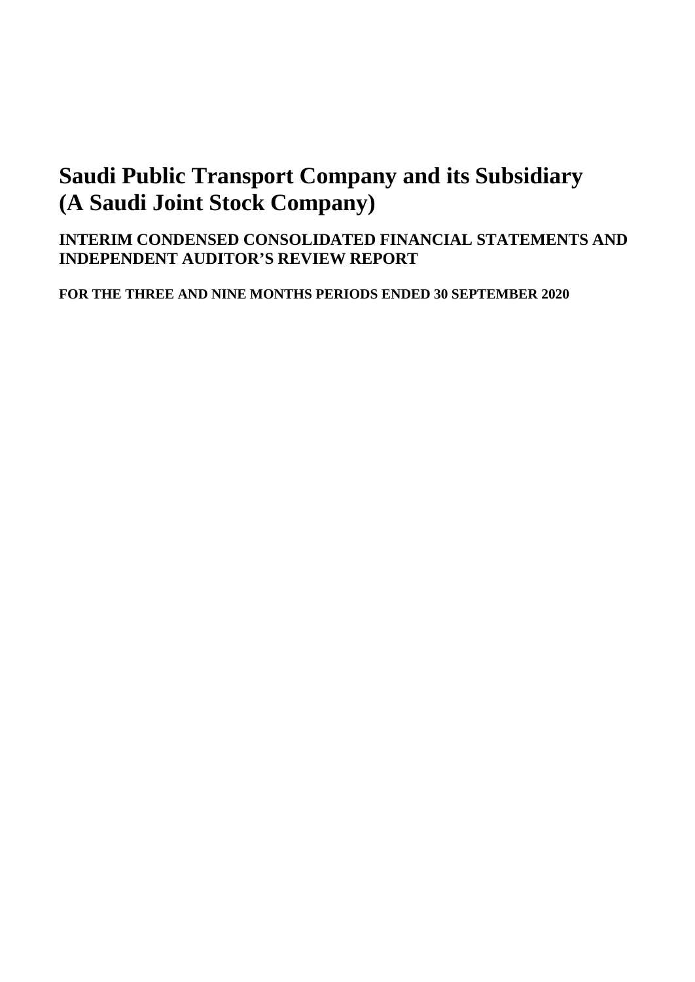## **INTERIM CONDENSED CONSOLIDATED FINANCIAL STATEMENTS AND INDEPENDENT AUDITOR'S REVIEW REPORT**

**FOR THE THREE AND NINE MONTHS PERIODS ENDED 30 SEPTEMBER 2020**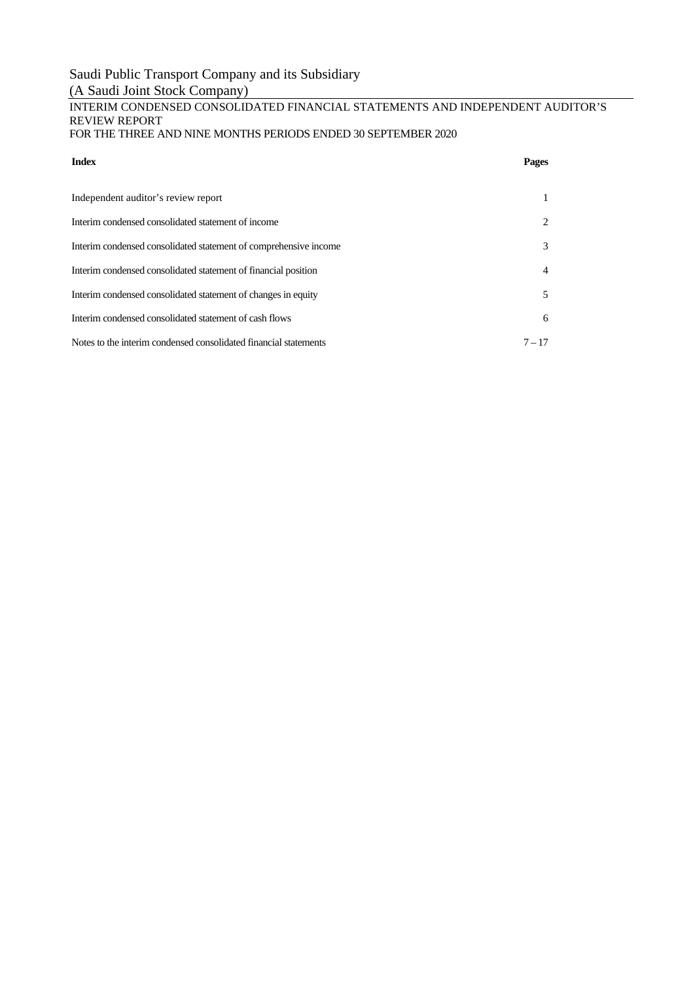## Saudi Public Transport Company and its Subsidiary

## (A Saudi Joint Stock Company)

#### INTERIM CONDENSED CONSOLIDATED FINANCIAL STATEMENTS AND INDEPENDENT AUDITOR'S REVIEW REPORT FOR THE THREE AND NINE MONTHS PERIODS ENDED 30 SEPTEMBER 2020

#### **Index Pages**

| Independent auditor's review report                              |                |
|------------------------------------------------------------------|----------------|
| Interim condensed consolidated statement of income               | 2              |
| Interim condensed consolidated statement of comprehensive income | 3              |
| Interim condensed consolidated statement of financial position   | $\overline{4}$ |
| Interim condensed consolidated statement of changes in equity    | 5              |
| Interim condensed consolidated statement of cash flows           | 6              |
| Notes to the interim condensed consolidated financial statements | $7 - 17$       |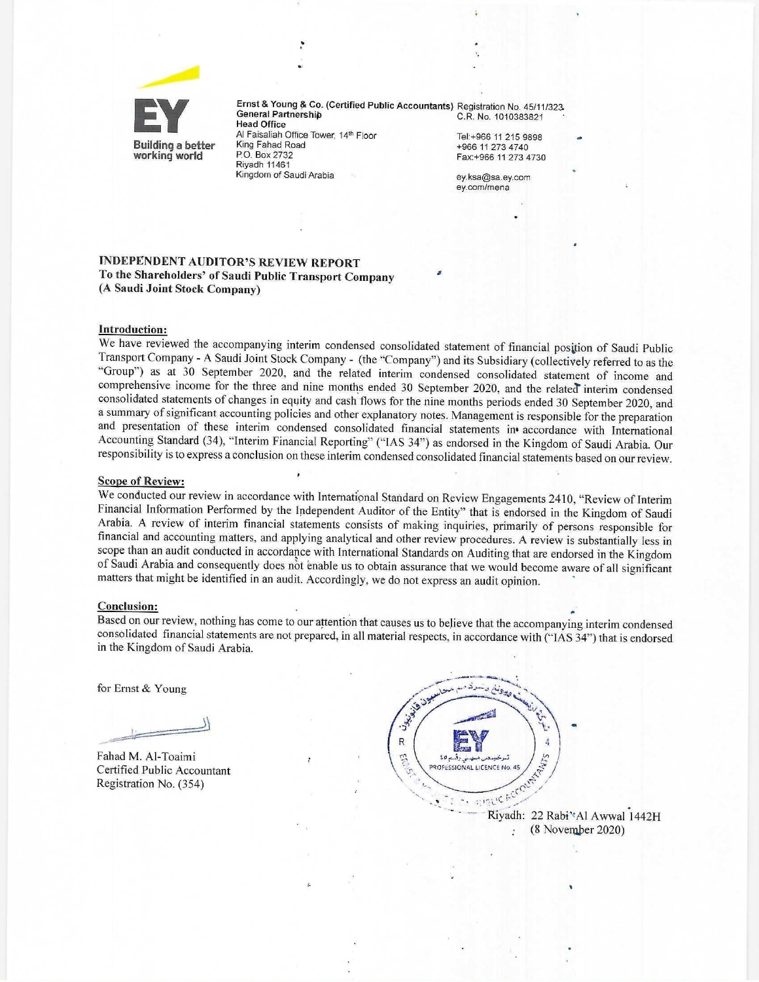

Ernst & Young & Co. (Certified Public Accountants) Registration No. 45/11/323. General Partnership C.R. No. 1010383821 **Head Office** Al Faisaliah Office Tower, 14th Floor Tel:+966 11 215 9898 King Fahad Road +966 11 273 4740 P.O. Box 2732 Fax:+966 11 273 4730 **Riyadh 11461** Kingdom of Saudi Arabia

ey.ksa@sa.ey.com ey.com/mena

#### **INDEPENDENT AUDITOR'S REVIEW REPORT** To the Shareholders' of Saudi Public Transport Company (A Saudi Joint Stock Company)

#### **Introduction:**

We have reviewed the accompanying interim condensed consolidated statement of financial position of Saudi Public Transport Company - A Saudi Joint Stock Company - (the "Company") and its Subsidiary (collectively referred to as the "Group") as at 30 September 2020, and the related interim condensed consolidated statement of income and comprehensive income for the three and nine months ended 30 September 2020, and the related interim condensed consolidated statements of changes in equity and cash flows for the nine months periods ended 30 September 2020, and a summary of significant accounting policies and other explanatory notes. Management is responsible for the preparation and presentation of these interim condensed consolidated financial statements in accordance with International Accounting Standard (34), "Interim Financial Reporting" ("IAS 34") as endorsed in the Kingdom of Saudi Arabia. Our responsibility is to express a conclusion on these interim condensed consolidated financial statements based on our review.

#### **Scope of Review:**

We conducted our review in accordance with International Standard on Review Engagements 2410, "Review of Interim Financial Information Performed by the Independent Auditor of the Entity" that is endorsed in the Kingdom of Saudi Arabia. A review of interim financial statements consists of making inquiries, primarily of persons responsible for financial and accounting matters, and applying analytical and other review procedures. A review is substantially less in scope than an audit conducted in accordance with International Standards on Auditing that are endorsed in the Kingdom of Saudi Arabia and consequently does not enable us to obtain assurance that we would become aware of all significant matters that might be identified in an audit. Accordingly, we do not express an audit opinion.

#### **Conclusion:**

Based on our review, nothing has come to our attention that causes us to believe that the accompanying interim condensed consolidated financial statements are not prepared, in all material respects, in accordance with ("IAS 34") that is endorsed in the Kingdom of Saudi Arabia.

for Ernst & Young

Fahad M. Al-Toaimi Certified Public Accountant Registration No. (354)



Riyadh: 22 Rabi'\*Al Awwal 1442H (8 November 2020)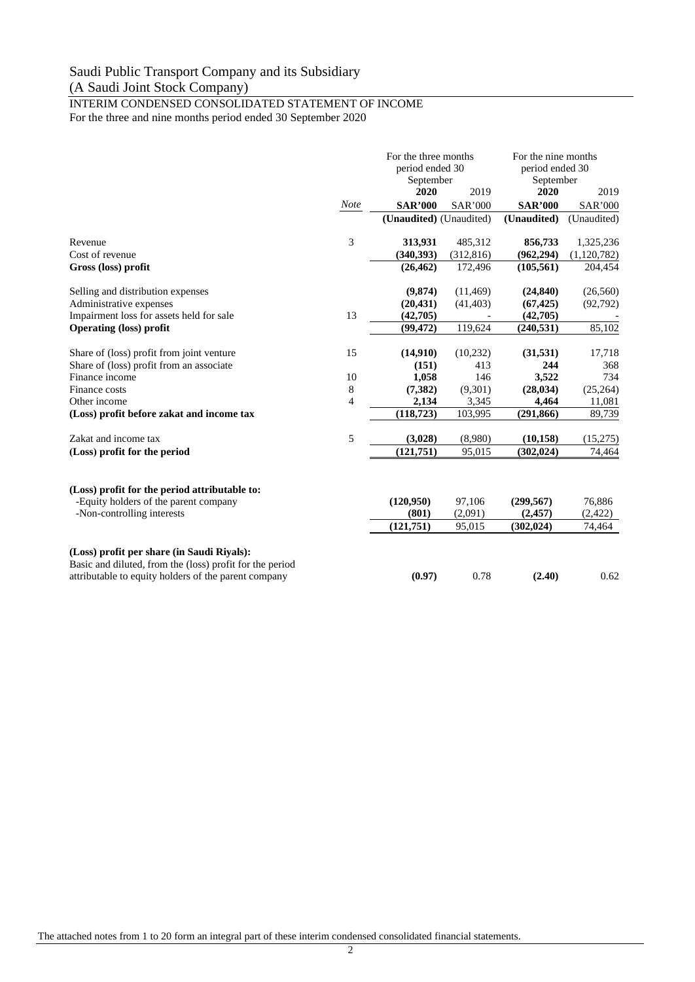## INTERIM CONDENSED CONSOLIDATED STATEMENT OF INCOME

For the three and nine months period ended 30 September 2020

|                                                                                                                                                                |             | For the three months<br>period ended 30<br>September |                             | For the nine months<br>period ended 30<br>September |                              |
|----------------------------------------------------------------------------------------------------------------------------------------------------------------|-------------|------------------------------------------------------|-----------------------------|-----------------------------------------------------|------------------------------|
|                                                                                                                                                                |             | 2020                                                 | 2019                        | 2020                                                | 2019                         |
|                                                                                                                                                                | <b>Note</b> | <b>SAR'000</b>                                       | <b>SAR'000</b>              | <b>SAR'000</b>                                      | <b>SAR'000</b>               |
|                                                                                                                                                                |             | (Unaudited) (Unaudited)                              |                             | (Unaudited)                                         | (Unaudited)                  |
| Revenue                                                                                                                                                        | 3           | 313,931                                              | 485,312                     | 856,733                                             | 1,325,236                    |
| Cost of revenue                                                                                                                                                |             | (340, 393)                                           | (312, 816)                  | (962, 294)                                          | (1,120,782)                  |
| Gross (loss) profit                                                                                                                                            |             | (26, 462)                                            | 172,496                     | (105, 561)                                          | 204,454                      |
| Selling and distribution expenses                                                                                                                              |             | (9,874)                                              | (11, 469)                   | (24, 840)                                           | (26, 560)                    |
| Administrative expenses                                                                                                                                        |             | (20, 431)                                            | (41, 403)                   | (67, 425)                                           | (92, 792)                    |
| Impairment loss for assets held for sale                                                                                                                       | 13          | (42,705)                                             |                             | (42,705)                                            |                              |
| <b>Operating (loss) profit</b>                                                                                                                                 |             | (99, 472)                                            | 119,624                     | (240, 531)                                          | 85,102                       |
| Share of (loss) profit from joint venture                                                                                                                      | 15          | (14,910)                                             | (10,232)                    | (31, 531)                                           | 17,718                       |
| Share of (loss) profit from an associate                                                                                                                       |             | (151)                                                | 413                         | 244                                                 | 368                          |
| Finance income                                                                                                                                                 | 10          | 1,058                                                | 146                         | 3,522                                               | 734                          |
| Finance costs                                                                                                                                                  | 8           | (7, 382)                                             | (9,301)                     | (28, 034)                                           | (25, 264)                    |
| Other income                                                                                                                                                   | 4           | 2,134                                                | 3,345                       | 4,464                                               | 11,081                       |
| (Loss) profit before zakat and income tax                                                                                                                      |             | (118, 723)                                           | 103,995                     | (291, 866)                                          | 89,739                       |
| Zakat and income tax                                                                                                                                           | 5           | (3,028)                                              | (8,980)                     | (10, 158)                                           | (15,275)                     |
| (Loss) profit for the period                                                                                                                                   |             | (121,751)                                            | 95,015                      | (302, 024)                                          | 74,464                       |
| (Loss) profit for the period attributable to:<br>-Equity holders of the parent company<br>-Non-controlling interests                                           |             | (120,950)<br>(801)<br>(121,751)                      | 97,106<br>(2,091)<br>95,015 | (299, 567)<br>(2,457)<br>(302, 024)                 | 76,886<br>(2, 422)<br>74,464 |
| (Loss) profit per share (in Saudi Riyals):<br>Basic and diluted, from the (loss) profit for the period<br>attributable to equity holders of the parent company |             | (0.97)                                               | 0.78                        | (2.40)                                              | 0.62                         |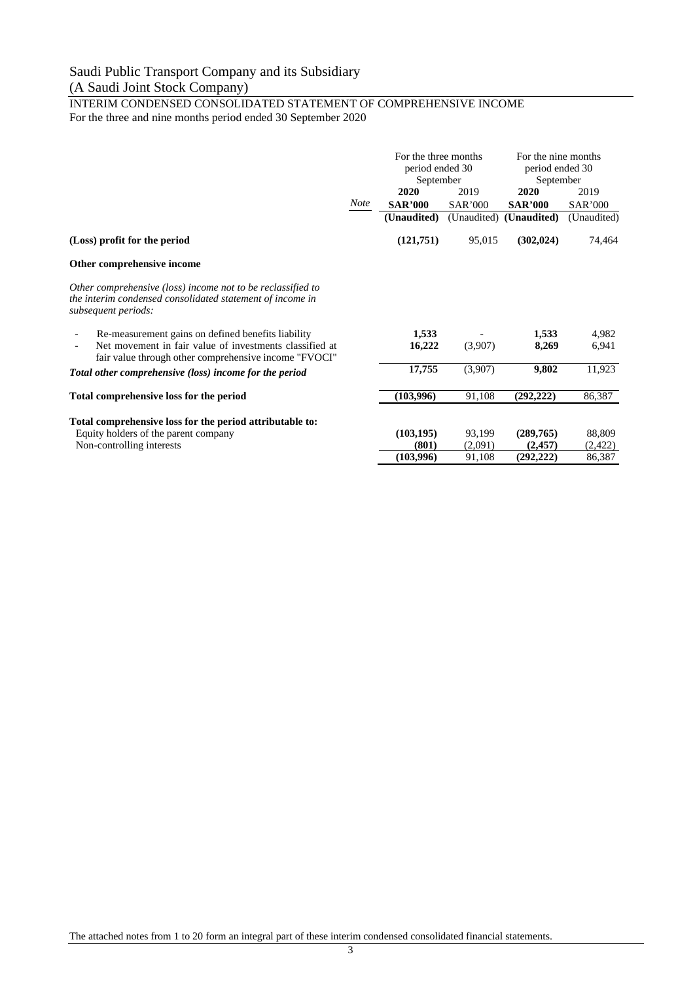INTERIM CONDENSED CONSOLIDATED STATEMENT OF COMPREHENSIVE INCOME For the three and nine months period ended 30 September 2020

|                                                                                                                                                 |             | For the three months<br>period ended 30<br>September |                | For the nine months<br>period ended 30<br>September |                |
|-------------------------------------------------------------------------------------------------------------------------------------------------|-------------|------------------------------------------------------|----------------|-----------------------------------------------------|----------------|
|                                                                                                                                                 |             | 2020                                                 | 2019           | 2020                                                | 2019           |
|                                                                                                                                                 | <b>Note</b> | <b>SAR'000</b>                                       | <b>SAR'000</b> | <b>SAR'000</b>                                      | <b>SAR'000</b> |
|                                                                                                                                                 |             | (Unaudited)                                          | (Unaudited)    | (Unaudited)                                         | (Unaudited)    |
| (Loss) profit for the period                                                                                                                    |             | (121,751)                                            | 95,015         | (302, 024)                                          | 74,464         |
| Other comprehensive income                                                                                                                      |             |                                                      |                |                                                     |                |
| Other comprehensive (loss) income not to be reclassified to<br>the interim condensed consolidated statement of income in<br>subsequent periods: |             |                                                      |                |                                                     |                |
| Re-measurement gains on defined benefits liability                                                                                              |             | 1,533                                                |                | 1,533                                               | 4,982          |
| Net movement in fair value of investments classified at<br>fair value through other comprehensive income "FVOCI"                                |             | 16,222                                               | (3,907)        | 8,269                                               | 6,941          |
| Total other comprehensive (loss) income for the period                                                                                          |             | 17,755                                               | (3,907)        | 9,802                                               | 11,923         |
| Total comprehensive loss for the period                                                                                                         |             | (103,996)                                            | 91,108         | (292, 222)                                          | 86,387         |
| Total comprehensive loss for the period attributable to:                                                                                        |             |                                                      |                |                                                     |                |
| Equity holders of the parent company                                                                                                            |             | (103, 195)                                           | 93,199         | (289,765)                                           | 88,809         |
| Non-controlling interests                                                                                                                       |             | (801)                                                | (2,091)        | (2,457)                                             | (2, 422)       |
|                                                                                                                                                 |             | (103,996)                                            | 91,108         | (292, 222)                                          | 86,387         |

The attached notes from 1 to 20 form an integral part of these interim condensed consolidated financial statements.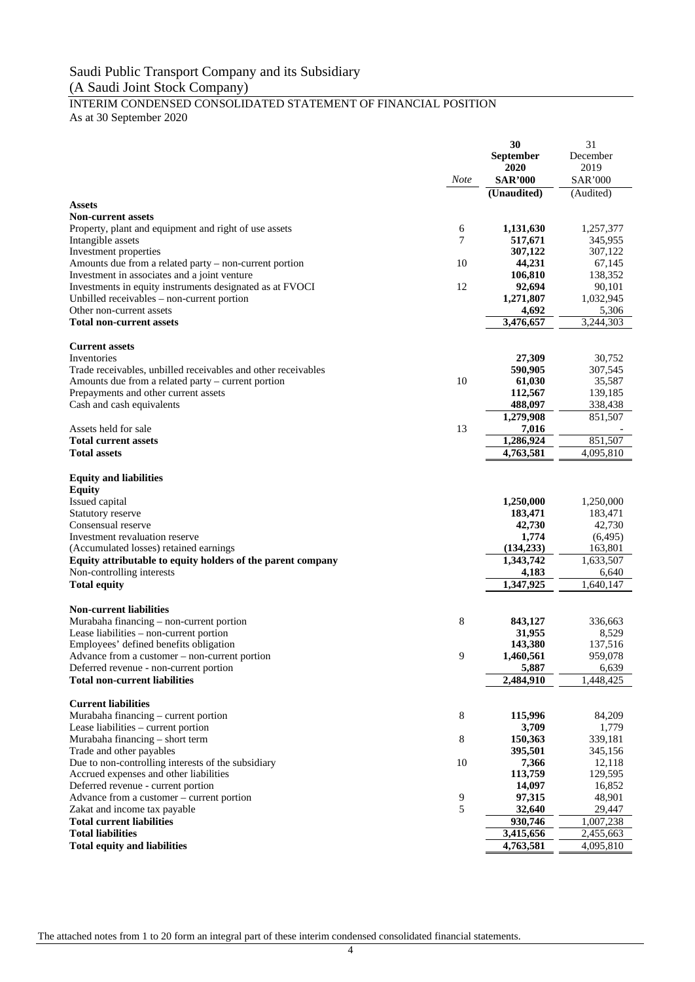#### INTERIM CONDENSED CONSOLIDATED STATEMENT OF FINANCIAL POSITION As at 30 September 2020

**30 September 2020** 31 December 2019 *Note* **SAR'000** SAR'000 **(Unaudited)** (Audited) **Assets Non-current assets** Property, plant and equipment and right of use assets 6 **1,131,630** 1,257,377<br>
Intangible assets **1** 1,257,377<br> **1** 1,257,377<br> **1** 1,257,377<br> **1** 1,257,377 Intangible assets 7 **517,671** 345,955 Investment properties **307,122** 307,122 307,122<br>Amounts due from a related party – non-current portion 10 44,231 57.145 Amounts due from a related party – non-current portion 10 **44,231** 67,145<br>Investment in associates and a joint venture 106,810 138,352 Investment in associates and a joint venture **106,810** 138,352 138,352 138,352 138,352 138,352 138,352 138,352 138,352 138,352 138,352 138,352 138,352 138,352 138,352 138,352 138,352 138,352 138,352 138,352 138,352 138,352 Investments in equity instruments designated as at FVOCI 12 92,694 90,101<br>
Unbilled receivables – non-current portion 1.032.945 Unbilled receivables – non-current portion Other non-current assets  $\frac{4,692}{3,476,657} - \frac{5,306}{3,244,303}$ **Total non-current assets Current assets** Inventories **27,309** 30,752 Trade receivables, unbilled receivables and other receivables **590,905** 307,545 Amounts due from a related party – current portion 10 **61,030** 35,587 Prepayments and other current assets **112,567** 139,185 Cash and cash equivalents **488,097** 338,438 **1,279,908** 851,507 Assets held for sale **7,016**  $\frac{13}{2}$  **7,016 Total current assets 1,286,924** 851,507<br> **1,286,924** 851,507<br> **1,763,581** 4,095,810 **Total assets** 4,095,810 **Equity and liabilities Equity**<br>Issued capital Issued capital **1,250,000** 1,250,000 Statutory reserve **183,471** 183,471 183,471 183,471 183,471 183,471 183,471 183,471 183,471 183,471 183,471 183,471 183,471 183,471 183,471 183,471 183,471 183,471 183,471 183,471 183,471 183,471 183,471 183,471 183,471 18 Consensual reserve **42,730** 42,730 42,730 42,730 42,730 42,730 42,730 42,730 42,730 42,730 42,730 42,730 42,730 42,730 42,730 42,730 42,730 42,730 42,730 42,730 42,730 42,730 42,730 42,730 42,730 42,730 42,730 42,730 42,73 Investment revaluation reserve **1,774** (6,495)<br>
(Accumulated losses) retained earnings (134,233) 163,801 (Accumulated losses) retained earnings<br> **Equity attributable to equity holders of the parent company (134,233)** 1,343,742 1,633,507 **Equity attributable to equity holders of the parent company** Non-controlling interests **4,183** 6,640 **Total equity 1,347,925** 1,640,147 **Non-current liabilities** Murabaha financing – non-current portion 8 **843,127** 336,663 Lease liabilities – non-current portion **31,955** 8,529 Employees' defined benefits obligation **143,380** 137,516 Advance from a customer – non-current portion 9 **1,460,561** 959,078 Deferred revenue - non-current portion **5,887** 6,639 **Total non-current liabilities 2,484,910** 1,448,425 **Current liabilities** Murabaha financing – current portion and the set of the set of the set of the set of the set of the set of the set of the set of the set of the set of the set of the set of the set of the set of the set of the set of the s Lease liabilities – current portion Murabaha financing – short term and the state of term and the state and other payables and other payables and the payables and the payables and the payables and the payables and the payables and the payables and the payabl Trade and other payables **395,501** 345,156<br>
Due to non-controlling interests of the subsidiary **395,501** 345,156<br>
12,118 Due to non-controlling interests of the subsidiary 10 **7,366** 12,118 Accrued expenses and other liabilities **113,759** 129,595 Deferred revenue - current portion **14,097** 16,852 Advance from a customer – current portion a property of the set of the set of the set of the set of the set of the set of the set of the set of the set of the set of the set of the set of the set of the set of the set of t Zakat and income tax payable 5 32,640 **Total current liabilities 930,746** 1,007,238 **Total liabilities 3,415,656** 2,455,663 **Total equity and liabilities 4,763,581** 4,095,810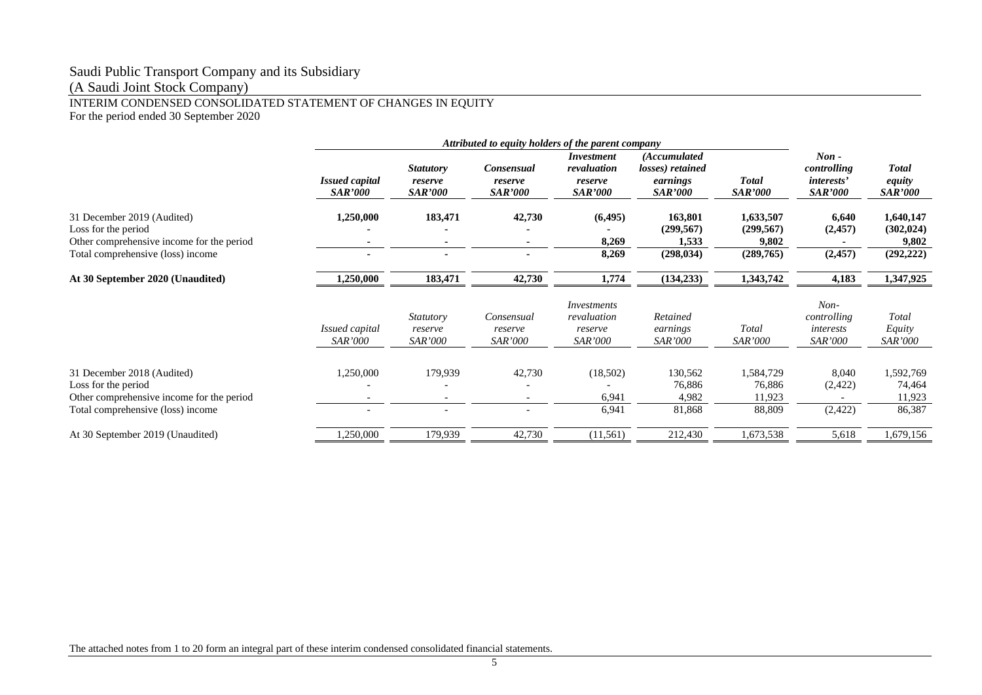## Saudi Public Transport Company and its Subsidiary

(A Saudi Joint Stock Company)

## INTERIM CONDENSED CONSOLIDATED STATEMENT OF CHANGES IN EQUITY

For the period ended 30 September 2020

|                                                                                                                                     |                                         |                                               | Attributed to equity holders of the parent company |                                                               |                                                                |                                               |                                                               |                                                |
|-------------------------------------------------------------------------------------------------------------------------------------|-----------------------------------------|-----------------------------------------------|----------------------------------------------------|---------------------------------------------------------------|----------------------------------------------------------------|-----------------------------------------------|---------------------------------------------------------------|------------------------------------------------|
|                                                                                                                                     | <b>Issued capital</b><br><i>SAR'000</i> | <b>Statutory</b><br>reserve<br><b>SAR'000</b> | Consensual<br>reserve<br><b>SAR'000</b>            | <i>Investment</i><br>revaluation<br>reserve<br><b>SAR'000</b> | (Accumulated<br>losses) retained<br>earnings<br><i>SAR'000</i> | <b>Total</b><br><b>SAR'000</b>                | $Non -$<br>controlling<br><i>interests'</i><br><b>SAR'000</b> | <b>Total</b><br>equity<br><i>SAR'000</i>       |
| 31 December 2019 (Audited)<br>Loss for the period<br>Other comprehensive income for the period<br>Total comprehensive (loss) income | 1,250,000                               | 183,471                                       | 42,730                                             | (6, 495)<br>8,269<br>8,269                                    | 163,801<br>(299, 567)<br>1,533<br>(298, 034)                   | 1,633,507<br>(299, 567)<br>9,802<br>(289,765) | 6,640<br>(2,457)<br>(2, 457)                                  | 1,640,147<br>(302, 024)<br>9,802<br>(292, 222) |
| At 30 September 2020 (Unaudited)                                                                                                    | 1,250,000                               | 183,471                                       | 42,730                                             | 1,774                                                         | (134, 233)                                                     | 1,343,742                                     | 4,183                                                         | 1,347,925                                      |
|                                                                                                                                     | Issued capital<br><i>SAR'000</i>        | <b>Statutory</b><br>reserve<br><i>SAR'000</i> | Consensual<br>reserve<br><b>SAR'000</b>            | Investments<br>revaluation<br>reserve<br>SAR'000              | Retained<br>earnings<br><i>SAR'000</i>                         | Total<br><i>SAR'000</i>                       | $Non-$<br>controlling<br>interests<br><b>SAR'000</b>          | Total<br>Equity<br><i>SAR'000</i>              |
| 31 December 2018 (Audited)<br>Loss for the period<br>Other comprehensive income for the period<br>Total comprehensive (loss) income | 1,250,000<br>$\overline{\phantom{0}}$   | 179,939                                       | 42,730                                             | (18,502)<br>6,941<br>6,941                                    | 130,562<br>76,886<br>4,982<br>81,868                           | 1,584,729<br>76,886<br>11,923<br>88,809       | 8,040<br>(2,422)<br>(2, 422)                                  | 1,592,769<br>74,464<br>11,923<br>86,387        |
| At 30 September 2019 (Unaudited)                                                                                                    | 1,250,000                               | 179,939                                       | 42,730                                             | (11,561)                                                      | 212,430                                                        | 1,673,538                                     | 5,618                                                         | 1,679,156                                      |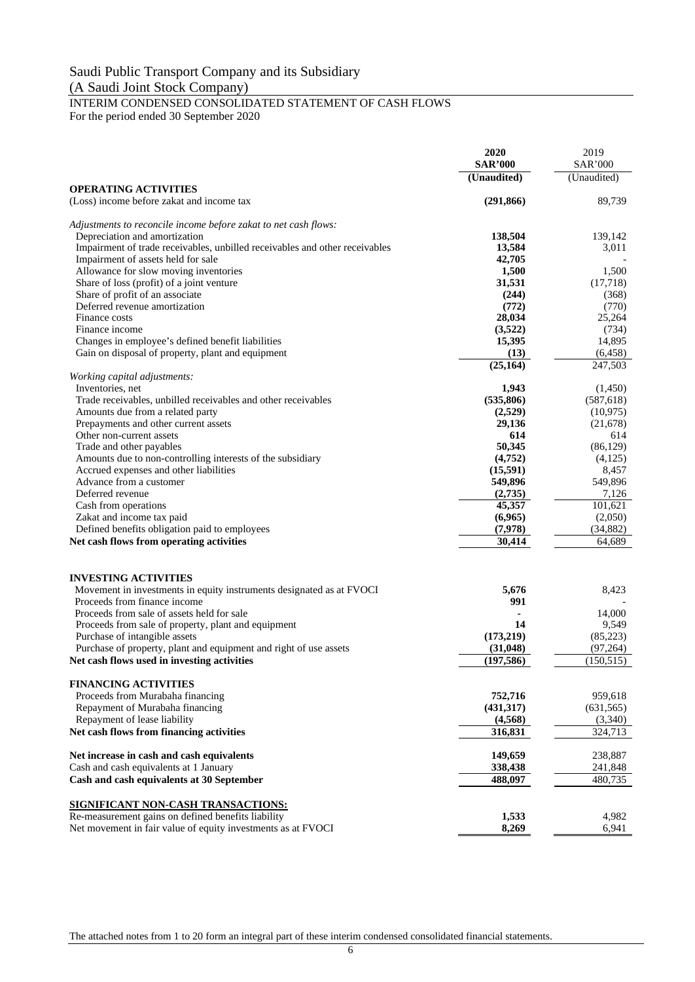#### INTERIM CONDENSED CONSOLIDATED STATEMENT OF CASH FLOWS For the period ended 30 September 2020

**2020** 2019<br>**2020** 2019<br>**2021** 2021 **SAR'000** SAR'000 **(Unaudited)** (Unaudited) **OPERATING ACTIVITIES** (Loss) income before zakat and income tax **(291,866)** 89,739 *Adjustments to reconcile income before zakat to net cash flows:* Depreciation and amortization **138,504** 139,142 Impairment of trade receivables, unbilled receivables and other receivables **13,584** 3,011<br>1 Impairment of assets held for sale **13,584** 42,705 Impairment of assets held for sale **42,705**<br>Allowance for slow moving inventories **1,500** 1,500 1,500 Allowance for slow moving inventories Share of loss (profit) of a joint venture **31,531** (17,718) Share of profit of an associate **(368)** (368) Deferred revenue amortization **(772)** (770) (770) (770) (772) (773) (772) (773) (773) (779) (779) (779) (779) (779) (779) (779) (779) (779) (779) (779) (779) (779) (779) (779) (779) (779) (779) (779) (779) (779) (779) (779 Finance costs **28,034** 25,264 Finance income **(3,522)** (734)<br>Changes in employee's defined benefit liabilities **15,395** (734) Changes in employee's defined benefit liabilities **15,395** 14,895 Gain on disposal of property, plant and equipment **(13)** (6,458)<br>
(25,164) (25,164) (6,458)  $(25,164)$ *Working capital adjustments:* Inventories, net **1,943** (1,450)<br>Trade receivables unbilled receivables and other receivables (535,806) (587.618) Trade receivables, unbilled receivables and other receivables **(535,806)** (587,618) Amounts due from a related party (10,975) (10,975)<br> **Prepayments and other current assets** (21,678) (21,678) Prepayments and other current assets **29,136** (21,678) Other non-current assets **614** 614 Trade and other payables **50,345** (86,129)<br>Amounts due to non-controlling interests of the subsidiary (4,752) (4,125) Amounts due to non-controlling interests of the subsidiary **(4,752)** (4,752) (4,752) Accrued expenses and other liabilities **(15,591)** 8,457 Advance from a customer **549,896** 549,896 549,896 Deferred revenue **(2,735)** 7,126 Cash from operations **45,357** 101,621 Zakat and income tax paid **(6,965)** (2,050) (2,050) Defined benefits obligation paid to employees (7,978) (34,882)<br>
Net cash flows from operating activities (36,689) **Net cash flows from operating activities 19.14 19.14 19.14 19.14 19.14 19.14 19.14 19.14 19.14 10.14 10.14 10.14 10.14 10.14 10.14 10.14 10.14 10.14 10.14 10.14 10.14 10.14 10 INVESTING ACTIVITIES** Movement in investments in equity instruments designated as at FVOCI **5,676** 8,423 Proceeds from finance income **991** - **991** - **991** - **14.000** Proceeds from sale of assets held for sale<br>
Proceeds from sale of property, plant and equipment<br>  $\frac{14,000}{9,549}$ Proceeds from sale of property, plant and equipment **14** 9,549<br>Purchase of intangible assets (173,219) (85,223) Purchase of intangible assets (173,219) (85,223)<br>
Purchase of property, plant and equipment and right of use assets (31,048) (97,264) Purchase of property, plant and equipment and right of use assets **Net cash flows used in investing activities (197,586)** (150,515) **FINANCING ACTIVITIES** Proceeds from Murabaha financing **752,716** 959,618<br>Repayment of Murabaha financing (431,317) (631,565) Repayment of Murabaha financing **(431,317)** (431,317) Repayment of lease liability **(4,568)** (3,340) **Net cash flows from financing activities 316,831** 324,713 **Net increase in cash and cash equivalents 149,659** 238,887 Cash and cash equivalents at 1 January **338,438** 241,848<br> **Cash and cash equivalents at 30 September** 488,097 488,097 480,735 **Cash and cash equivalents at 30 September <b>488,097** 488,097 **SIGNIFICANT NON-CASH TRANSACTIONS:** Re-measurement gains on defined benefits liability **1,533** 4,982<br>Net movement in fair value of equity investments as at FVOCI 8,269 6,941 Net movement in fair value of equity investments as at FVOCI 8,269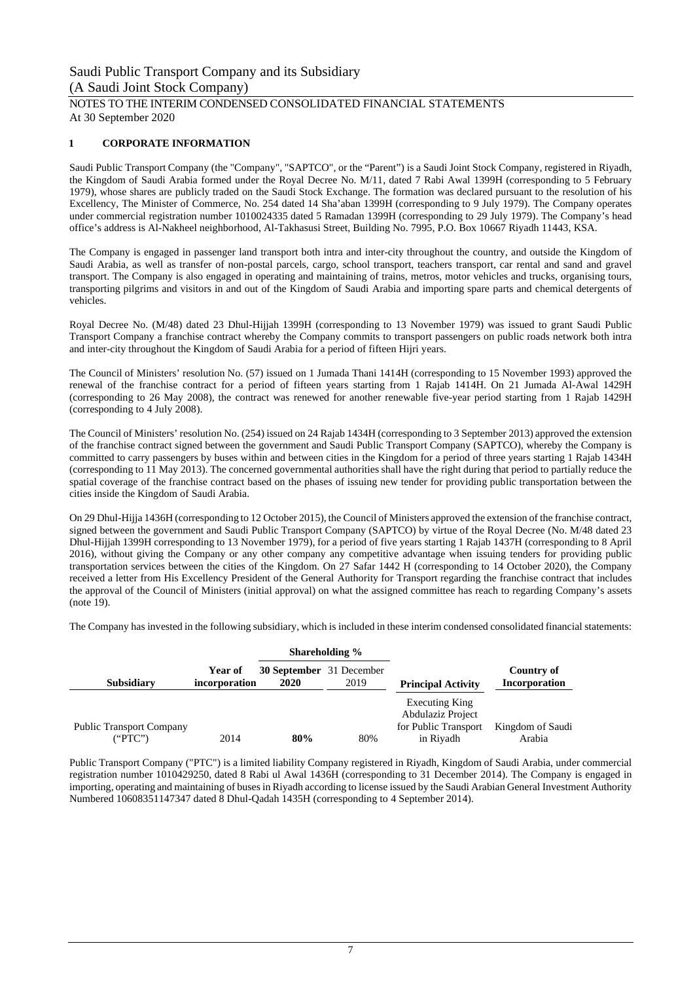#### NOTES TO THE INTERIM CONDENSED CONSOLIDATED FINANCIAL STATEMENTS At 30 September 2020

#### **1 CORPORATE INFORMATION**

Saudi Public Transport Company (the "Company", "SAPTCO", or the "Parent") is a Saudi Joint Stock Company, registered in Riyadh, the Kingdom of Saudi Arabia formed under the Royal Decree No. M/11, dated 7 Rabi Awal 1399H (corresponding to 5 February 1979), whose shares are publicly traded on the Saudi Stock Exchange. The formation was declared pursuant to the resolution of his Excellency, The Minister of Commerce, No. 254 dated 14 Sha'aban 1399H (corresponding to 9 July 1979). The Company operates under commercial registration number 1010024335 dated 5 Ramadan 1399H (corresponding to 29 July 1979). The Company's head office's address is Al-Nakheel neighborhood, Al-Takhasusi Street, Building No. 7995, P.O. Box 10667 Riyadh 11443, KSA.

The Company is engaged in passenger land transport both intra and inter-city throughout the country, and outside the Kingdom of Saudi Arabia, as well as transfer of non-postal parcels, cargo, school transport, teachers transport, car rental and sand and gravel transport. The Company is also engaged in operating and maintaining of trains, metros, motor vehicles and trucks, organising tours, transporting pilgrims and visitors in and out of the Kingdom of Saudi Arabia and importing spare parts and chemical detergents of vehicles.

Royal Decree No. (M/48) dated 23 Dhul-Hijjah 1399H (corresponding to 13 November 1979) was issued to grant Saudi Public Transport Company a franchise contract whereby the Company commits to transport passengers on public roads network both intra and inter-city throughout the Kingdom of Saudi Arabia for a period of fifteen Hijri years.

The Council of Ministers' resolution No. (57) issued on 1 Jumada Thani 1414H (corresponding to 15 November 1993) approved the renewal of the franchise contract for a period of fifteen years starting from 1 Rajab 1414H. On 21 Jumada Al-Awal 1429H (corresponding to 26 May 2008), the contract was renewed for another renewable five-year period starting from 1 Rajab 1429H (corresponding to 4 July 2008).

The Council of Ministers' resolution No. (254) issued on 24 Rajab 1434H (corresponding to 3 September 2013) approved the extension of the franchise contract signed between the government and Saudi Public Transport Company (SAPTCO), whereby the Company is committed to carry passengers by buses within and between cities in the Kingdom for a period of three years starting 1 Rajab 1434H (corresponding to 11 May 2013). The concerned governmental authorities shall have the right during that period to partially reduce the spatial coverage of the franchise contract based on the phases of issuing new tender for providing public transportation between the cities inside the Kingdom of Saudi Arabia.

On 29 Dhul-Hijja 1436H (corresponding to 12 October 2015), the Council of Ministers approved the extension of the franchise contract, signed between the government and Saudi Public Transport Company (SAPTCO) by virtue of the Royal Decree (No. M/48 dated 23 Dhul-Hijjah 1399H corresponding to 13 November 1979), for a period of five years starting 1 Rajab 1437H (corresponding to 8 April 2016), without giving the Company or any other company any competitive advantage when issuing tenders for providing public transportation services between the cities of the Kingdom. On 27 Safar 1442 H (corresponding to 14 October 2020), the Company received a letter from His Excellency President of the General Authority for Transport regarding the franchise contract that includes the approval of the Council of Ministers (initial approval) on what the assigned committee has reach to regarding Company's assets (note 19).

The Company has invested in the following subsidiary, which is included in these interim condensed consolidated financial statements:

|                                            |                          | Shareholding %                          |      |                                                                          |                             |
|--------------------------------------------|--------------------------|-----------------------------------------|------|--------------------------------------------------------------------------|-----------------------------|
| <b>Subsidiary</b>                          | Year of<br>incorporation | <b>30 September</b> 31 December<br>2020 | 2019 | <b>Principal Activity</b>                                                | Country of<br>Incorporation |
| <b>Public Transport Company</b><br>("PTC") | 2014                     | 80%                                     | 80%  | Executing King<br>Abdulaziz Project<br>for Public Transport<br>in Riyadh | Kingdom of Saudi<br>Arabia  |

Public Transport Company ("PTC") is a limited liability Company registered in Riyadh, Kingdom of Saudi Arabia, under commercial registration number 1010429250, dated 8 Rabi ul Awal 1436H (corresponding to 31 December 2014). The Company is engaged in importing, operating and maintaining of buses in Riyadh according to license issued by the Saudi Arabian General Investment Authority Numbered 10608351147347 dated 8 Dhul-Qadah 1435H (corresponding to 4 September 2014).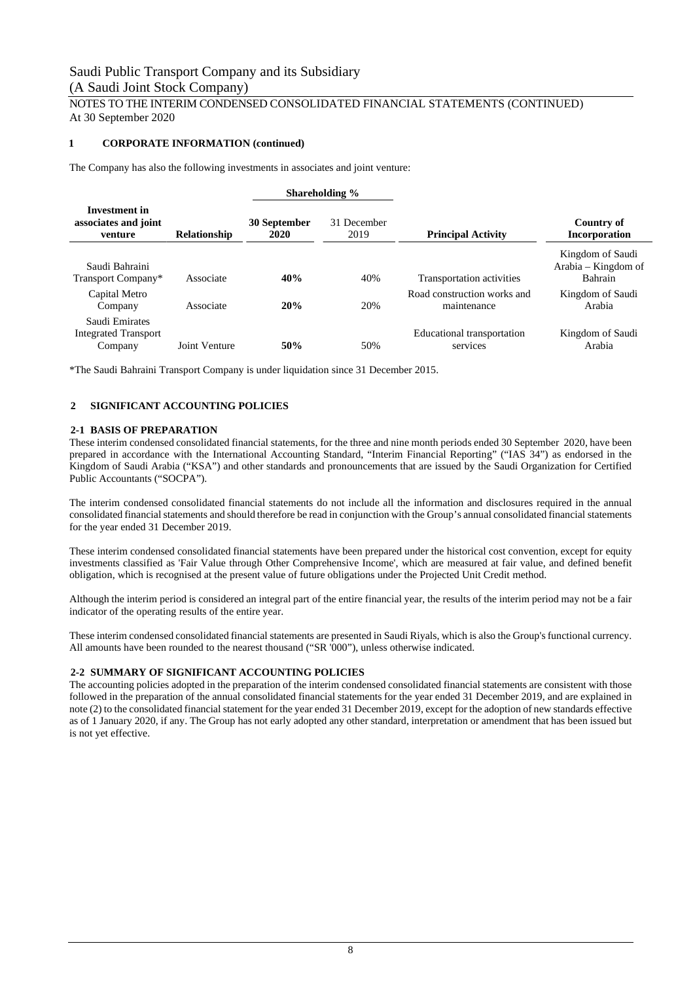#### NOTES TO THE INTERIM CONDENSED CONSOLIDATED FINANCIAL STATEMENTS (CONTINUED) At 30 September 2020

#### **1 CORPORATE INFORMATION (continued)**

The Company has also the following investments in associates and joint venture:

|                                                          |                     |                      | Shareholding %      |                                            |                                                    |
|----------------------------------------------------------|---------------------|----------------------|---------------------|--------------------------------------------|----------------------------------------------------|
| Investment in<br>associates and joint<br>venture         | <b>Relationship</b> | 30 September<br>2020 | 31 December<br>2019 | <b>Principal Activity</b>                  | Country of<br><b>Incorporation</b>                 |
| Saudi Bahraini<br>Transport Company*                     | Associate           | 40%                  | 40%                 | Transportation activities                  | Kingdom of Saudi<br>Arabia – Kingdom of<br>Bahrain |
| Capital Metro<br>Company                                 | Associate           | 20%                  | 20%                 | Road construction works and<br>maintenance | Kingdom of Saudi<br>Arabia                         |
| Saudi Emirates<br><b>Integrated Transport</b><br>Company | Joint Venture       | 50%                  | 50%                 | Educational transportation<br>services     | Kingdom of Saudi<br>Arabia                         |

\*The Saudi Bahraini Transport Company is under liquidation since 31 December 2015.

#### **2 SIGNIFICANT ACCOUNTING POLICIES**

#### **2-1 BASIS OF PREPARATION**

These interim condensed consolidated financial statements, for the three and nine month periods ended 30 September 2020, have been prepared in accordance with the International Accounting Standard, "Interim Financial Reporting" ("IAS 34") as endorsed in the Kingdom of Saudi Arabia ("KSA") and other standards and pronouncements that are issued by the Saudi Organization for Certified Public Accountants ("SOCPA").

The interim condensed consolidated financial statements do not include all the information and disclosures required in the annual consolidated financial statements and should therefore be read in conjunction with the Group's annual consolidated financial statements for the year ended 31 December 2019.

These interim condensed consolidated financial statements have been prepared under the historical cost convention, except for equity investments classified as 'Fair Value through Other Comprehensive Income', which are measured at fair value, and defined benefit obligation, which is recognised at the present value of future obligations under the Projected Unit Credit method.

Although the interim period is considered an integral part of the entire financial year, the results of the interim period may not be a fair indicator of the operating results of the entire year.

These interim condensed consolidated financial statements are presented in Saudi Riyals, which is also the Group's functional currency. All amounts have been rounded to the nearest thousand ("SR '000"), unless otherwise indicated.

#### **2-2 SUMMARY OF SIGNIFICANT ACCOUNTING POLICIES**

The accounting policies adopted in the preparation of the interim condensed consolidated financial statements are consistent with those followed in the preparation of the annual consolidated financial statements for the year ended 31 December 2019, and are explained in note (2) to the consolidated financial statement for the year ended 31 December 2019, except for the adoption of new standards effective as of 1 January 2020, if any. The Group has not early adopted any other standard, interpretation or amendment that has been issued but is not yet effective.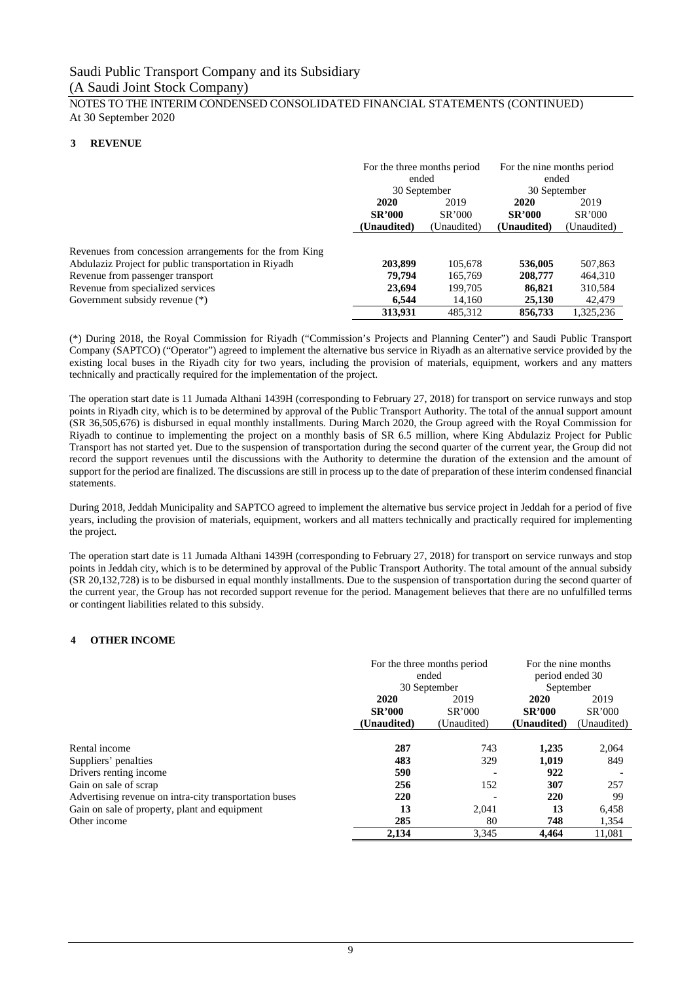#### NOTES TO THE INTERIM CONDENSED CONSOLIDATED FINANCIAL STATEMENTS (CONTINUED) At 30 September 2020

#### **3 REVENUE**

|                                                                                                                  | For the three months period<br>ended<br>30 September |                               | For the nine months period<br>ended<br>30 September |                               |
|------------------------------------------------------------------------------------------------------------------|------------------------------------------------------|-------------------------------|-----------------------------------------------------|-------------------------------|
|                                                                                                                  | 2020<br><b>SR'000</b><br>(Unaudited)                 | 2019<br>SR'000<br>(Unaudited) | 2020<br><b>SR'000</b><br>(Unaudited)                | 2019<br>SR'000<br>(Unaudited) |
| Revenues from concession arrangements for the from King<br>Abdulaziz Project for public transportation in Riyadh | 203,899                                              | 105,678                       | 536,005                                             | 507,863                       |
| Revenue from passenger transport                                                                                 | 79.794                                               | 165,769                       | 208,777                                             | 464,310                       |
| Revenue from specialized services                                                                                | 23,694                                               | 199,705                       | 86,821                                              | 310,584                       |
| Government subsidy revenue (*)                                                                                   | 6.544                                                | 14,160                        | 25,130                                              | 42,479                        |
|                                                                                                                  | 313,931                                              | 485.312                       | 856,733                                             | 1,325,236                     |

(\*) During 2018, the Royal Commission for Riyadh ("Commission's Projects and Planning Center") and Saudi Public Transport Company (SAPTCO) ("Operator") agreed to implement the alternative bus service in Riyadh as an alternative service provided by the existing local buses in the Riyadh city for two years, including the provision of materials, equipment, workers and any matters technically and practically required for the implementation of the project.

The operation start date is 11 Jumada Althani 1439H (corresponding to February 27, 2018) for transport on service runways and stop points in Riyadh city, which is to be determined by approval of the Public Transport Authority. The total of the annual support amount (SR 36,505,676) is disbursed in equal monthly installments. During March 2020, the Group agreed with the Royal Commission for Riyadh to continue to implementing the project on a monthly basis of SR 6.5 million, where King Abdulaziz Project for Public Transport has not started yet. Due to the suspension of transportation during the second quarter of the current year, the Group did not record the support revenues until the discussions with the Authority to determine the duration of the extension and the amount of support for the period are finalized. The discussions are still in process up to the date of preparation of these interim condensed financial statements.

During 2018, Jeddah Municipality and SAPTCO agreed to implement the alternative bus service project in Jeddah for a period of five years, including the provision of materials, equipment, workers and all matters technically and practically required for implementing the project.

The operation start date is 11 Jumada Althani 1439H (corresponding to February 27, 2018) for transport on service runways and stop points in Jeddah city, which is to be determined by approval of the Public Transport Authority. The total amount of the annual subsidy (SR 20,132,728) is to be disbursed in equal monthly installments. Due to the suspension of transportation during the second quarter of the current year, the Group has not recorded support revenue for the period. Management believes that there are no unfulfilled terms or contingent liabilities related to this subsidy.

#### **4 OTHER INCOME**

|                                                        |               | For the three months period<br>ended<br>30 September | For the nine months<br>period ended 30<br>September |             |
|--------------------------------------------------------|---------------|------------------------------------------------------|-----------------------------------------------------|-------------|
|                                                        | 2020          | 2019                                                 | 2020                                                | 2019        |
|                                                        | <b>SR'000</b> | SR'000                                               | <b>SR'000</b>                                       | SR'000      |
|                                                        | (Unaudited)   | (Unaudited)                                          | (Unaudited)                                         | (Unaudited) |
|                                                        |               |                                                      |                                                     |             |
| Rental income                                          | 287           | 743                                                  | 1,235                                               | 2,064       |
| Suppliers' penalties                                   | 483           | 329                                                  | 1.019                                               | 849         |
| Drivers renting income.                                | 590           |                                                      | 922                                                 |             |
| Gain on sale of scrap                                  | 256           | 152                                                  | 307                                                 | 257         |
| Advertising revenue on intra-city transportation buses | 220           |                                                      | 220                                                 | 99          |
| Gain on sale of property, plant and equipment          | 13            | 2.041                                                | 13                                                  | 6.458       |
| Other income                                           | 285           | 80                                                   | 748                                                 | 1,354       |
|                                                        | 2,134         | 3,345                                                | 4.464                                               | 11.081      |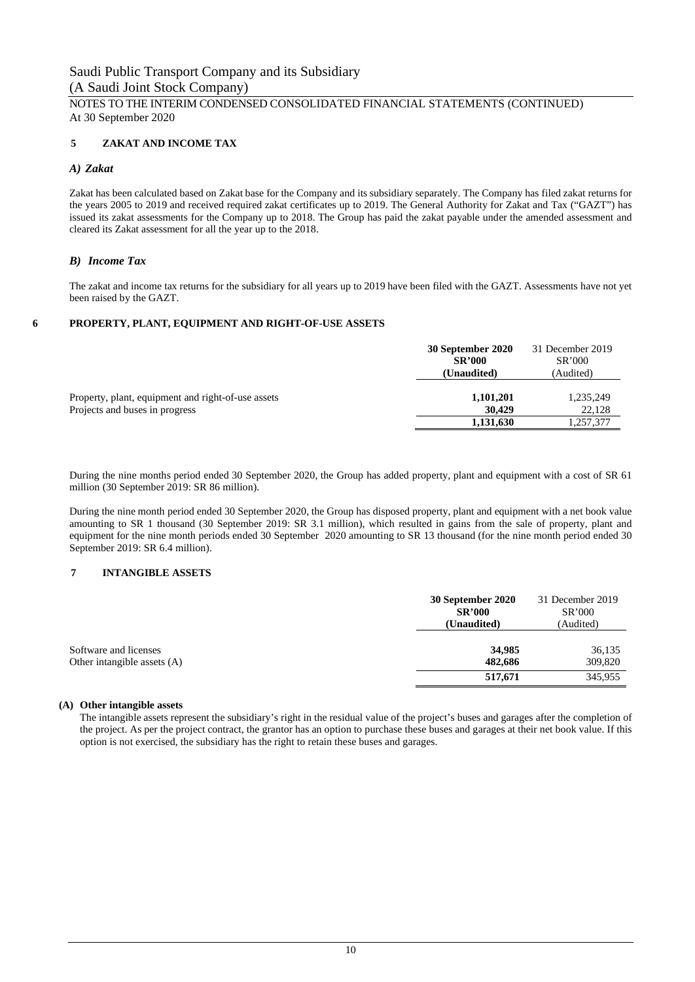#### NOTES TO THE INTERIM CONDENSED CONSOLIDATED FINANCIAL STATEMENTS (CONTINUED) At 30 September 2020

#### **5 ZAKAT AND INCOME TAX**

#### *A) Zakat*

Zakat has been calculated based on Zakat base for the Company and its subsidiary separately. The Company has filed zakat returns for the years 2005 to 2019 and received required zakat certificates up to 2019. The General Authority for Zakat and Tax ("GAZT") has issued its zakat assessments for the Company up to 2018. The Group has paid the zakat payable under the amended assessment and cleared its Zakat assessment for all the year up to the 2018.

#### *B) Income Tax*

The zakat and income tax returns for the subsidiary for all years up to 2019 have been filed with the GAZT. Assessments have not yet been raised by the GAZT.

#### **6 PROPERTY, PLANT, EQUIPMENT AND RIGHT-OF-USE ASSETS**

|                                                    | 30 September 2020 | 31 December 2019 |
|----------------------------------------------------|-------------------|------------------|
|                                                    | <b>SR'000</b>     | SR'000           |
|                                                    | (Unaudited)       | (Audited)        |
|                                                    |                   |                  |
| Property, plant, equipment and right-of-use assets | 1,101,201         | 1,235,249        |
| Projects and buses in progress                     | 30,429            | 22,128           |
|                                                    | 1,131,630         | 1,257,377        |

During the nine months period ended 30 September 2020, the Group has added property, plant and equipment with a cost of SR 61 million (30 September 2019: SR 86 million).

During the nine month period ended 30 September 2020, the Group has disposed property, plant and equipment with a net book value amounting to SR 1 thousand (30 September 2019: SR 3.1 million), which resulted in gains from the sale of property, plant and equipment for the nine month periods ended 30 September 2020 amounting to SR 13 thousand (for the nine month period ended 30 September 2019: SR 6.4 million).

#### **7 INTANGIBLE ASSETS**

|                                                      | 30 September 2020<br><b>SR'000</b><br>(Unaudited) | 31 December 2019<br>SR'000<br>(Audited) |
|------------------------------------------------------|---------------------------------------------------|-----------------------------------------|
| Software and licenses<br>Other intangible assets (A) | 34,985<br>482,686<br>517,671                      | 36,135<br>309,820<br>345,955            |

#### **(A) Other intangible assets**

The intangible assets represent the subsidiary's right in the residual value of the project's buses and garages after the completion of the project. As per the project contract, the grantor has an option to purchase these buses and garages at their net book value. If this option is not exercised, the subsidiary has the right to retain these buses and garages.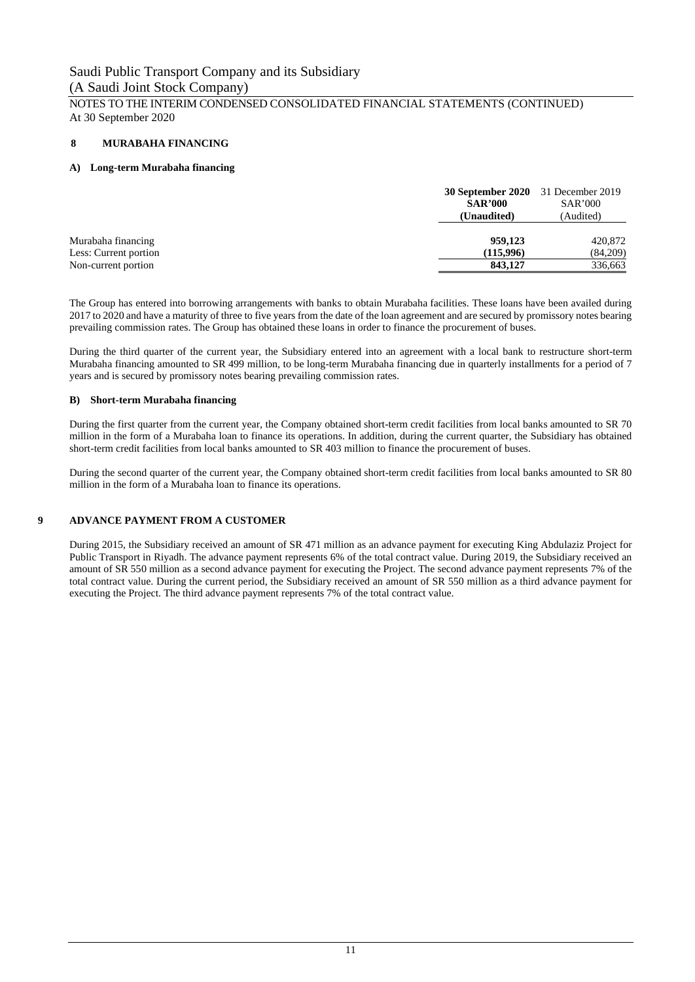#### NOTES TO THE INTERIM CONDENSED CONSOLIDATED FINANCIAL STATEMENTS (CONTINUED) At 30 September 2020

#### **8 MURABAHA FINANCING**

#### **A) Long-term Murabaha financing**

|                       | <b>30 September 2020</b> 31 December 2019 |           |
|-----------------------|-------------------------------------------|-----------|
|                       | <b>SAR'000</b>                            |           |
|                       | (Unaudited)                               | (Audited) |
| Murabaha financing    | 959,123                                   | 420,872   |
| Less: Current portion | (115,996)                                 | (84,209)  |
| Non-current portion   | 843,127                                   | 336,663   |

The Group has entered into borrowing arrangements with banks to obtain Murabaha facilities. These loans have been availed during 2017 to 2020 and have a maturity of three to five years from the date of the loan agreement and are secured by promissory notes bearing prevailing commission rates. The Group has obtained these loans in order to finance the procurement of buses.

During the third quarter of the current year, the Subsidiary entered into an agreement with a local bank to restructure short-term Murabaha financing amounted to SR 499 million, to be long-term Murabaha financing due in quarterly installments for a period of 7 years and is secured by promissory notes bearing prevailing commission rates.

#### **B) Short-term Murabaha financing**

During the first quarter from the current year, the Company obtained short-term credit facilities from local banks amounted to SR 70 million in the form of a Murabaha loan to finance its operations. In addition, during the current quarter, the Subsidiary has obtained short-term credit facilities from local banks amounted to SR 403 million to finance the procurement of buses.

During the second quarter of the current year, the Company obtained short-term credit facilities from local banks amounted to SR 80 million in the form of a Murabaha loan to finance its operations.

#### **9 ADVANCE PAYMENT FROM A CUSTOMER**

During 2015, the Subsidiary received an amount of SR 471 million as an advance payment for executing King Abdulaziz Project for Public Transport in Riyadh. The advance payment represents 6% of the total contract value. During 2019, the Subsidiary received an amount of SR 550 million as a second advance payment for executing the Project. The second advance payment represents 7% of the total contract value. During the current period, the Subsidiary received an amount of SR 550 million as a third advance payment for executing the Project. The third advance payment represents 7% of the total contract value.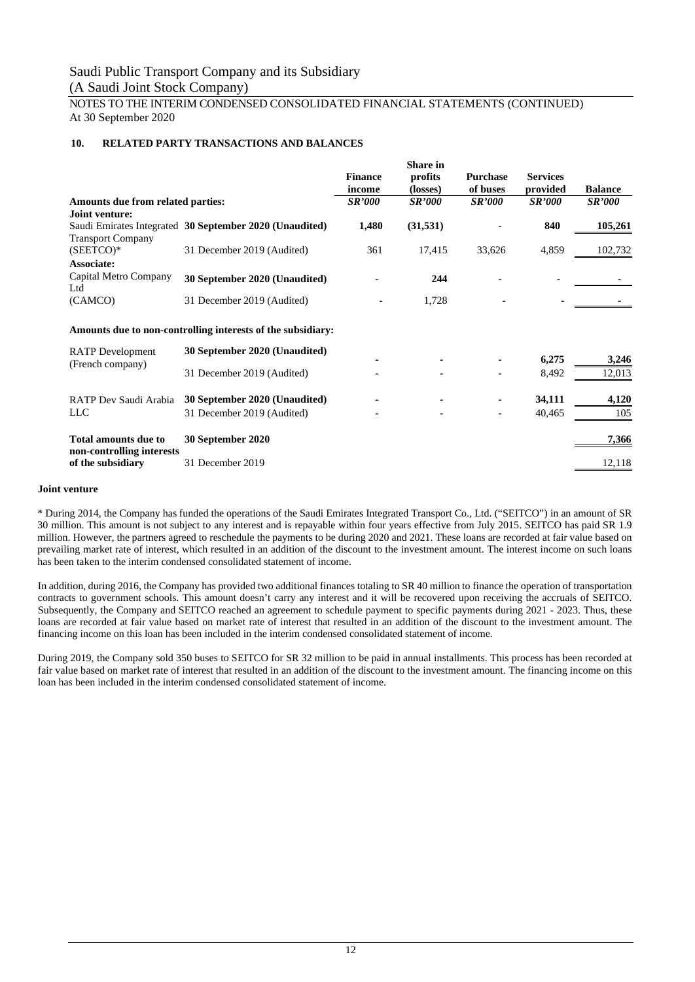NOTES TO THE INTERIM CONDENSED CONSOLIDATED FINANCIAL STATEMENTS (CONTINUED) At 30 September 2020

#### **10. RELATED PARTY TRANSACTIONS AND BALANCES**

|                                                   |                                                             | <b>Finance</b><br>income | <b>Share in</b><br>profits<br>(losses) | <b>Purchase</b><br>of buses | <b>Services</b><br>provided | <b>Balance</b>       |
|---------------------------------------------------|-------------------------------------------------------------|--------------------------|----------------------------------------|-----------------------------|-----------------------------|----------------------|
| Amounts due from related parties:                 |                                                             | <b>SR'000</b>            | <i>SR'000</i>                          | <i>SR'000</i>               | <i><b>SR'000</b></i>        | <i><b>SR'000</b></i> |
| Joint venture:                                    |                                                             |                          |                                        |                             |                             |                      |
| <b>Transport Company</b>                          | Saudi Emirates Integrated 30 September 2020 (Unaudited)     | 1,480                    | (31,531)                               |                             | 840                         | 105,261              |
| $(SEETCO)*$<br><b>Associate:</b>                  | 31 December 2019 (Audited)                                  | 361                      | 17,415                                 | 33,626                      | 4,859                       | 102,732              |
| Capital Metro Company<br>Ltd                      | 30 September 2020 (Unaudited)                               |                          | 244                                    |                             |                             |                      |
| (CAMCO)                                           | 31 December 2019 (Audited)                                  |                          | 1,728                                  |                             |                             |                      |
|                                                   | Amounts due to non-controlling interests of the subsidiary: |                          |                                        |                             |                             |                      |
| <b>RATP</b> Development<br>(French company)       | 30 September 2020 (Unaudited)                               |                          |                                        |                             | 6,275                       | 3,246                |
|                                                   | 31 December 2019 (Audited)                                  |                          |                                        |                             | 8,492                       | 12,013               |
| RATP Dev Saudi Arabia                             | 30 September 2020 (Unaudited)                               |                          |                                        |                             | 34,111                      | 4,120                |
| <b>LLC</b>                                        | 31 December 2019 (Audited)                                  |                          |                                        |                             | 40,465                      | 105                  |
| Total amounts due to<br>non-controlling interests | 30 September 2020                                           |                          |                                        |                             |                             | 7,366                |
| of the subsidiary                                 | 31 December 2019                                            |                          |                                        |                             |                             | 12,118               |

#### **Joint venture**

\* During 2014, the Company has funded the operations of the Saudi Emirates Integrated Transport Co., Ltd. ("SEITCO") in an amount of SR 30 million. This amount is not subject to any interest and is repayable within four years effective from July 2015. SEITCO has paid SR 1.9 million. However, the partners agreed to reschedule the payments to be during 2020 and 2021. These loans are recorded at fair value based on prevailing market rate of interest, which resulted in an addition of the discount to the investment amount. The interest income on such loans has been taken to the interim condensed consolidated statement of income.

In addition, during 2016, the Company has provided two additional finances totaling to SR 40 million to finance the operation of transportation contracts to government schools. This amount doesn't carry any interest and it will be recovered upon receiving the accruals of SEITCO. Subsequently, the Company and SEITCO reached an agreement to schedule payment to specific payments during 2021 - 2023. Thus, these loans are recorded at fair value based on market rate of interest that resulted in an addition of the discount to the investment amount. The financing income on this loan has been included in the interim condensed consolidated statement of income.

During 2019, the Company sold 350 buses to SEITCO for SR 32 million to be paid in annual installments. This process has been recorded at fair value based on market rate of interest that resulted in an addition of the discount to the investment amount. The financing income on this loan has been included in the interim condensed consolidated statement of income.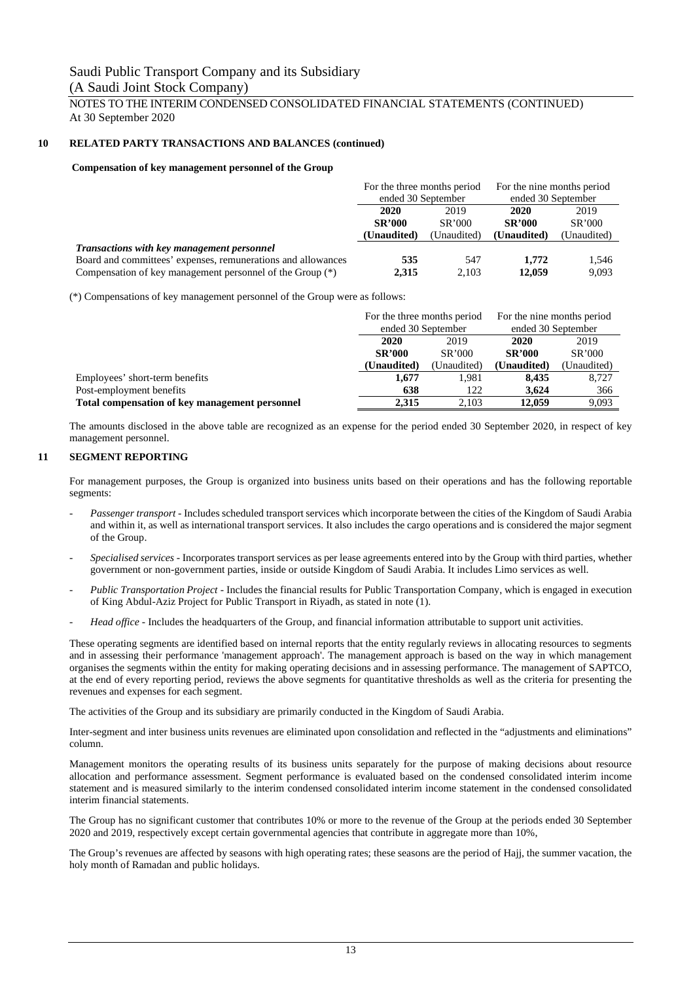NOTES TO THE INTERIM CONDENSED CONSOLIDATED FINANCIAL STATEMENTS (CONTINUED) At 30 September 2020

#### **10 RELATED PARTY TRANSACTIONS AND BALANCES (continued)**

#### **Compensation of key management personnel of the Group**

|                                                              | For the three months period |             | For the nine months period |             |
|--------------------------------------------------------------|-----------------------------|-------------|----------------------------|-------------|
|                                                              | ended 30 September          |             | ended 30 September         |             |
|                                                              | 2020<br>2019                |             | 2020                       | 2019        |
|                                                              | <b>SR'000</b>               | SR'000      | <b>SR'000</b>              | SR'000      |
|                                                              | (Unaudited)                 | (Unaudited) | (Unaudited)                | (Unaudited) |
| <b>Transactions with key management personnel</b>            |                             |             |                            |             |
| Board and committees' expenses, remunerations and allowances | 535                         | 547         | 1.772                      | 1,546       |
| Compensation of key management personnel of the Group (*)    | 2.315                       | 2.103       | 12.059                     | 9.093       |

(\*) Compensations of key management personnel of the Group were as follows:

|                                                | For the three months period                           |       | For the nine months period |             |
|------------------------------------------------|-------------------------------------------------------|-------|----------------------------|-------------|
|                                                | ended 30 September                                    |       | ended 30 September         |             |
|                                                | 2020<br>2019                                          |       | 2020                       | 2019        |
|                                                | <b>SR'000</b><br>SR'000<br>(Unaudited)<br>(Unaudited) |       | <b>SR'000</b>              | SR'000      |
|                                                |                                                       |       | (Unaudited)                | (Unaudited) |
| Employees' short-term benefits                 | 1.677                                                 | 1.981 | 8.435                      | 8.727       |
| Post-employment benefits                       | 638                                                   | 122   | 3.624                      | 366         |
| Total compensation of key management personnel | 2.315                                                 | 2.103 | 12,059                     | 9.093       |

The amounts disclosed in the above table are recognized as an expense for the period ended 30 September 2020, in respect of key management personnel.

#### **11 SEGMENT REPORTING**

For management purposes, the Group is organized into business units based on their operations and has the following reportable segments:

- Passenger transport Includes scheduled transport services which incorporate between the cities of the Kingdom of Saudi Arabia and within it, as well as international transport services. It also includes the cargo operations and is considered the major segment of the Group.
- *Specialised services* Incorporates transport services as per lease agreements entered into by the Group with third parties, whether government or non-government parties, inside or outside Kingdom of Saudi Arabia. It includes Limo services as well.
- *Public Transportation Project* Includes the financial results for Public Transportation Company, which is engaged in execution of King Abdul-Aziz Project for Public Transport in Riyadh, as stated in note (1).
- Head office Includes the headquarters of the Group, and financial information attributable to support unit activities.

These operating segments are identified based on internal reports that the entity regularly reviews in allocating resources to segments and in assessing their performance 'management approach'. The management approach is based on the way in which management organises the segments within the entity for making operating decisions and in assessing performance. The management of SAPTCO, at the end of every reporting period, reviews the above segments for quantitative thresholds as well as the criteria for presenting the revenues and expenses for each segment.

The activities of the Group and its subsidiary are primarily conducted in the Kingdom of Saudi Arabia.

Inter-segment and inter business units revenues are eliminated upon consolidation and reflected in the "adjustments and eliminations" column.

Management monitors the operating results of its business units separately for the purpose of making decisions about resource allocation and performance assessment. Segment performance is evaluated based on the condensed consolidated interim income statement and is measured similarly to the interim condensed consolidated interim income statement in the condensed consolidated interim financial statements.

The Group has no significant customer that contributes 10% or more to the revenue of the Group at the periods ended 30 September 2020 and 2019, respectively except certain governmental agencies that contribute in aggregate more than 10%,

The Group's revenues are affected by seasons with high operating rates; these seasons are the period of Hajj, the summer vacation, the holy month of Ramadan and public holidays.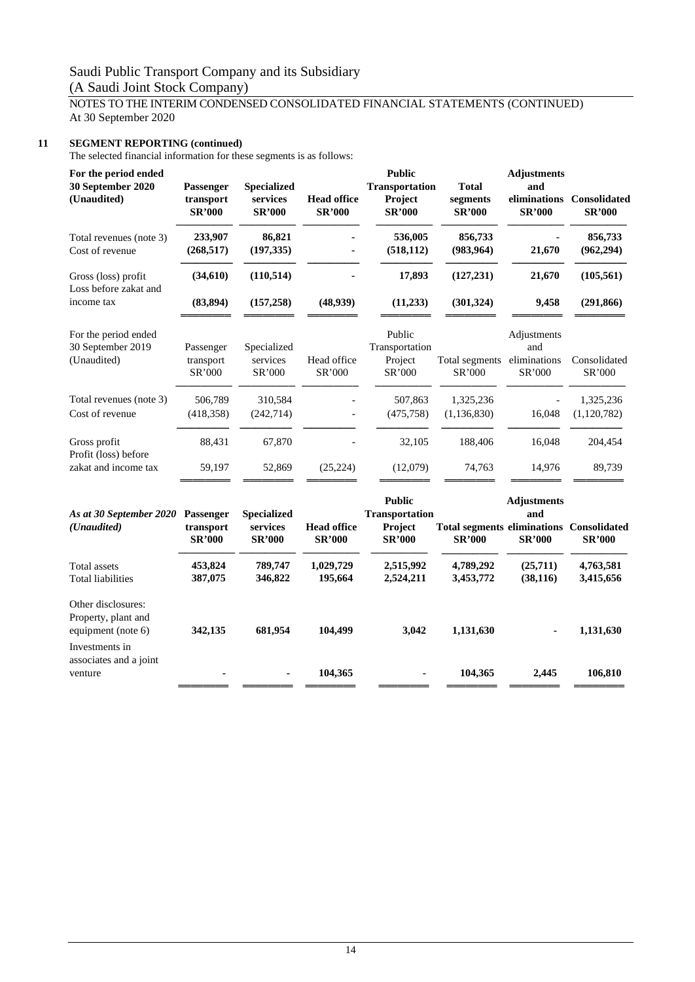## NOTES TO THE INTERIM CONDENSED CONSOLIDATED FINANCIAL STATEMENTS (CONTINUED) At 30 September 2020

#### **11 SEGMENT REPORTING (continued)**

The selected financial information for these segments is as follows:

| For the period ended<br>30 September 2020<br>(Unaudited)        | Passenger<br>transport<br><b>SR'000</b> | Specialized<br>services<br><b>SR'000</b>        | <b>Head office</b><br><b>SR'000</b> | <b>Public</b><br><b>Transportation</b><br>Project<br><b>SR'000</b> | <b>Total</b><br>segments<br><b>SR'000</b>                        | <b>Adjustments</b><br>and<br>eliminations<br><b>SR'000</b> | Consolidated<br><b>SR'000</b> |
|-----------------------------------------------------------------|-----------------------------------------|-------------------------------------------------|-------------------------------------|--------------------------------------------------------------------|------------------------------------------------------------------|------------------------------------------------------------|-------------------------------|
| Total revenues (note 3)<br>Cost of revenue                      | 233,907<br>(268, 517)                   | 86,821<br>(197, 335)                            |                                     | 536,005<br>(518, 112)                                              | 856,733<br>(983, 964)                                            | 21,670                                                     | 856,733<br>(962, 294)         |
| Gross (loss) profit                                             | (34,610)                                | (110, 514)                                      |                                     | 17,893                                                             | (127, 231)                                                       | 21,670                                                     | (105, 561)                    |
| Loss before zakat and<br>income tax                             | (83, 894)                               | (157, 258)                                      | (48,939)                            | (11,233)                                                           | (301, 324)                                                       | 9,458                                                      | (291, 866)                    |
| For the period ended<br>30 September 2019<br>(Unaudited)        | Passenger<br>transport                  | Specialized<br>services                         | Head office                         | Public<br>Transportation<br>Project                                | Total segments                                                   | Adjustments<br>and<br>eliminations                         | Consolidated                  |
|                                                                 | SR'000                                  | SR'000                                          | SR'000                              | SR'000                                                             | SR'000                                                           | SR'000                                                     | SR'000                        |
| Total revenues (note 3)                                         | 506,789                                 | 310,584                                         |                                     | 507,863                                                            | 1,325,236                                                        |                                                            | 1,325,236                     |
| Cost of revenue                                                 | (418, 358)                              | (242, 714)                                      |                                     | (475, 758)                                                         | (1, 136, 830)                                                    | 16,048                                                     | (1,120,782)                   |
| Gross profit<br>Profit (loss) before                            | 88,431                                  | 67,870                                          |                                     | 32,105                                                             | 188,406                                                          | 16,048                                                     | 204,454                       |
| zakat and income tax                                            | 59,197                                  | 52,869                                          | (25, 224)                           | (12,079)                                                           | 74,763                                                           | 14,976                                                     | 89,739                        |
| As at 30 September 2020<br>(Unaudited)                          | Passenger<br>transport<br><b>SR'000</b> | <b>Specialized</b><br>services<br><b>SR'000</b> | <b>Head office</b><br><b>SR'000</b> | <b>Public</b><br>Transportation<br>Project<br><b>SR'000</b>        | <b>Total segments eliminations Consolidated</b><br><b>SR'000</b> | <b>Adjustments</b><br>and<br><b>SR'000</b>                 | <b>SR'000</b>                 |
| <b>Total</b> assets<br><b>Total liabilities</b>                 | 453,824<br>387,075                      | 789,747<br>346,822                              | 1,029,729<br>195,664                | 2,515,992<br>2,524,211                                             | 4,789,292<br>3,453,772                                           | (25,711)<br>(38, 116)                                      | 4,763,581<br>3,415,656        |
| Other disclosures:<br>Property, plant and<br>equipment (note 6) | 342,135                                 | 681,954                                         | 104,499                             | 3,042                                                              | 1,131,630                                                        |                                                            | 1,131,630                     |
| Investments in<br>associates and a joint                        |                                         |                                                 |                                     |                                                                    |                                                                  |                                                            |                               |

venture **- - 104,365 - 104,365 2,445 106,810**

════════ ════════ ════════ ════════ ════════ ════════ ════════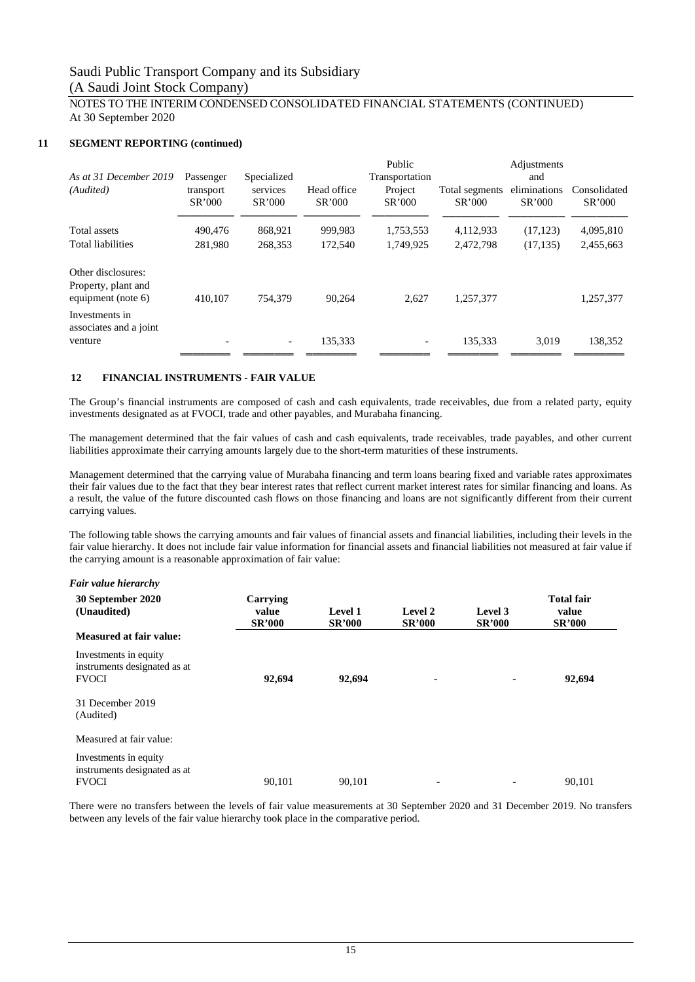#### NOTES TO THE INTERIM CONDENSED CONSOLIDATED FINANCIAL STATEMENTS (CONTINUED) At 30 September 2020

#### **11 SEGMENT REPORTING (continued)**

| Passenger | Specialized              |          | Public<br>Transportation |           | Adjustments<br>and |                        |
|-----------|--------------------------|----------|--------------------------|-----------|--------------------|------------------------|
| SR'000    | SR'000                   | SR'000   | SR'000                   | SR'000    | SR'000             | Consolidated<br>SR'000 |
| 490,476   | 868,921                  | 999,983  | 1,753,553                | 4,112,933 | (17, 123)          | 4,095,810              |
| 281.980   | 268,353                  | 172,540  | 1,749,925                | 2,472,798 | (17, 135)          | 2,455,663              |
| 410.107   | 754,379                  | 90,264   | 2,627                    | 1,257,377 |                    | 1,257,377              |
|           | $\overline{\phantom{a}}$ | 135,333  |                          | 135,333   | 3.019              | 138,352                |
|           | transport                | services | Head office              | Project   | Total segments     | eliminations           |

#### **12 FINANCIAL INSTRUMENTS - FAIR VALUE**

The Group's financial instruments are composed of cash and cash equivalents, trade receivables, due from a related party, equity investments designated as at FVOCI, trade and other payables, and Murabaha financing.

The management determined that the fair values of cash and cash equivalents, trade receivables, trade payables, and other current liabilities approximate their carrying amounts largely due to the short-term maturities of these instruments.

Management determined that the carrying value of Murabaha financing and term loans bearing fixed and variable rates approximates their fair values due to the fact that they bear interest rates that reflect current market interest rates for similar financing and loans. As a result, the value of the future discounted cash flows on those financing and loans are not significantly different from their current carrying values.

The following table shows the carrying amounts and fair values of financial assets and financial liabilities, including their levels in the fair value hierarchy. It does not include fair value information for financial assets and financial liabilities not measured at fair value if the carrying amount is a reasonable approximation of fair value:

| Fair value hierarchy                                                  |                                    |                          |                          |                          |                                             |
|-----------------------------------------------------------------------|------------------------------------|--------------------------|--------------------------|--------------------------|---------------------------------------------|
| 30 September 2020<br>(Unaudited)                                      | Carrying<br>value<br><b>SR'000</b> | Level 1<br><b>SR'000</b> | Level 2<br><b>SR'000</b> | Level 3<br><b>SR'000</b> | <b>Total fair</b><br>value<br><b>SR'000</b> |
| Measured at fair value:                                               |                                    |                          |                          |                          |                                             |
| Investments in equity<br>instruments designated as at<br><b>FVOCI</b> | 92,694                             | 92,694                   | ۰                        | ٠                        | 92,694                                      |
| 31 December 2019<br>(Audited)                                         |                                    |                          |                          |                          |                                             |
| Measured at fair value:                                               |                                    |                          |                          |                          |                                             |
| Investments in equity<br>instruments designated as at<br><b>FVOCI</b> | 90.101                             | 90.101                   | $\overline{\phantom{0}}$ | $\overline{\phantom{a}}$ | 90.101                                      |

There were no transfers between the levels of fair value measurements at 30 September 2020 and 31 December 2019. No transfers between any levels of the fair value hierarchy took place in the comparative period.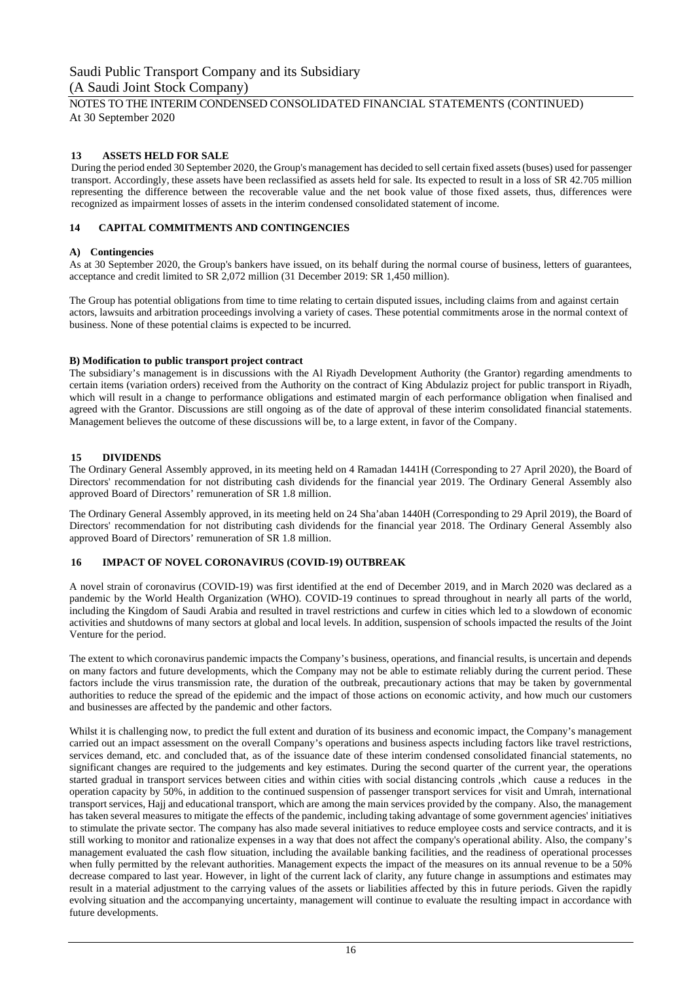#### NOTES TO THE INTERIM CONDENSED CONSOLIDATED FINANCIAL STATEMENTS (CONTINUED) At 30 September 2020

#### **13 ASSETS HELD FOR SALE**

During the period ended 30 September 2020, the Group's management has decided to sell certain fixed assets(buses) used for passenger transport. Accordingly, these assets have been reclassified as assets held for sale. Its expected to result in a loss of SR 42.705 million representing the difference between the recoverable value and the net book value of those fixed assets, thus, differences were recognized as impairment losses of assets in the interim condensed consolidated statement of income.

#### **14 CAPITAL COMMITMENTS AND CONTINGENCIES**

#### **A) Contingencies**

As at 30 September 2020, the Group's bankers have issued, on its behalf during the normal course of business, letters of guarantees, acceptance and credit limited to SR 2,072 million (31 December 2019: SR 1,450 million).

The Group has potential obligations from time to time relating to certain disputed issues, including claims from and against certain actors, lawsuits and arbitration proceedings involving a variety of cases. These potential commitments arose in the normal context of business. None of these potential claims is expected to be incurred.

#### **B) Modification to public transport project contract**

The subsidiary's management is in discussions with the Al Riyadh Development Authority (the Grantor) regarding amendments to certain items (variation orders) received from the Authority on the contract of King Abdulaziz project for public transport in Riyadh, which will result in a change to performance obligations and estimated margin of each performance obligation when finalised and agreed with the Grantor. Discussions are still ongoing as of the date of approval of these interim consolidated financial statements. Management believes the outcome of these discussions will be, to a large extent, in favor of the Company.

#### **15 DIVIDENDS**

The Ordinary General Assembly approved, in its meeting held on 4 Ramadan 1441H (Corresponding to 27 April 2020), the Board of Directors' recommendation for not distributing cash dividends for the financial year 2019. The Ordinary General Assembly also approved Board of Directors' remuneration of SR 1.8 million.

The Ordinary General Assembly approved, in its meeting held on 24 Sha'aban 1440H (Corresponding to 29 April 2019), the Board of Directors' recommendation for not distributing cash dividends for the financial year 2018. The Ordinary General Assembly also approved Board of Directors' remuneration of SR 1.8 million.

#### **16 IMPACT OF NOVEL CORONAVIRUS (COVID-19) OUTBREAK**

A novel strain of coronavirus (COVID-19) was first identified at the end of December 2019, and in March 2020 was declared as a pandemic by the World Health Organization (WHO). COVID-19 continues to spread throughout in nearly all parts of the world, including the Kingdom of Saudi Arabia and resulted in travel restrictions and curfew in cities which led to a slowdown of economic activities and shutdowns of many sectors at global and local levels. In addition, suspension of schools impacted the results of the Joint Venture for the period.

The extent to which coronavirus pandemic impacts the Company's business, operations, and financial results, is uncertain and depends on many factors and future developments, which the Company may not be able to estimate reliably during the current period. These factors include the virus transmission rate, the duration of the outbreak, precautionary actions that may be taken by governmental authorities to reduce the spread of the epidemic and the impact of those actions on economic activity, and how much our customers and businesses are affected by the pandemic and other factors.

Whilst it is challenging now, to predict the full extent and duration of its business and economic impact, the Company's management carried out an impact assessment on the overall Company's operations and business aspects including factors like travel restrictions, services demand, etc. and concluded that, as of the issuance date of these interim condensed consolidated financial statements, no significant changes are required to the judgements and key estimates. During the second quarter of the current year, the operations started gradual in transport services between cities and within cities with social distancing controls ,which cause a reduces in the operation capacity by 50%, in addition to the continued suspension of passenger transport services for visit and Umrah, international transport services, Hajj and educational transport, which are among the main services provided by the company. Also, the management has taken several measures to mitigate the effects of the pandemic, including taking advantage of some government agencies' initiatives to stimulate the private sector. The company has also made several initiatives to reduce employee costs and service contracts, and it is still working to monitor and rationalize expenses in a way that does not affect the company's operational ability. Also, the company's management evaluated the cash flow situation, including the available banking facilities, and the readiness of operational processes when fully permitted by the relevant authorities. Management expects the impact of the measures on its annual revenue to be a 50% decrease compared to last year. However, in light of the current lack of clarity, any future change in assumptions and estimates may result in a material adjustment to the carrying values of the assets or liabilities affected by this in future periods. Given the rapidly evolving situation and the accompanying uncertainty, management will continue to evaluate the resulting impact in accordance with future developments.